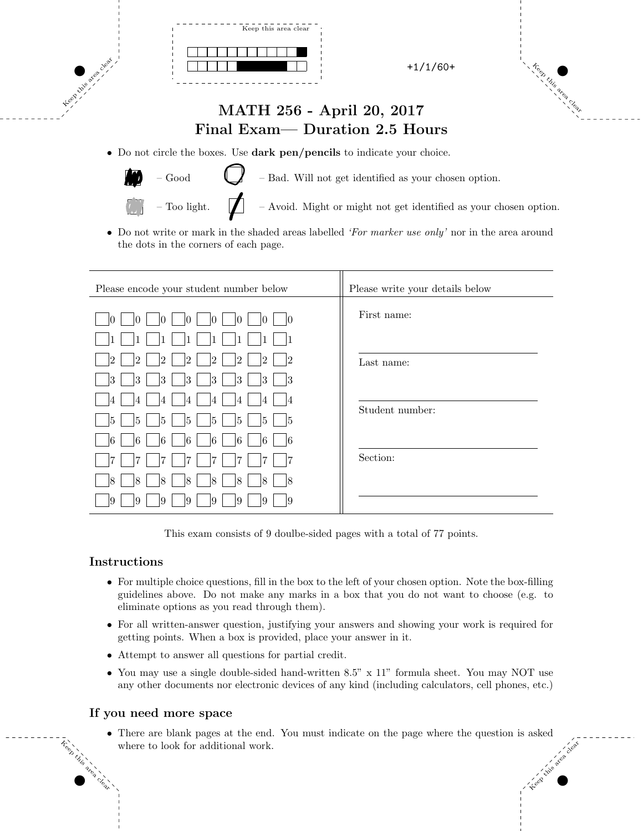

# Keep Kilis area clear

### MATH 256 - April 20, 2017 Final Exam— Duration 2.5 Hours

• Do not circle the boxes. Use dark pen/pencils to indicate your choice.



Keep this area clear.

 $-\text{Good}$  – Bad. Will not get identified as your chosen option.

– Too light.  $\Box$  – Avoid. Might or might not get identified as your chosen option.

• Do not write or mark in the shaded areas labelled *'For marker use only'* nor in the area around the dots in the corners of each page.

| Please encode your student number below                                                                      | Please write your details below |
|--------------------------------------------------------------------------------------------------------------|---------------------------------|
| 10<br>10<br>M<br>Ю<br>Ю<br>Ю                                                                                 | First name:                     |
| $\overline{2}$<br>2<br>12<br>12<br>12<br>12<br>2<br>12<br>3<br>3<br> 3<br>$ 3\rangle$<br>13<br>3<br>13<br>13 | Last name:                      |
| 14<br>4<br>4<br>4<br>14<br>5<br>5<br>15<br>5<br>15<br>15<br>5<br>15                                          | Student number:                 |
| 16<br>16<br>16<br>16<br>6<br>16<br>6<br>16<br>ί7<br>7                                                        | Section:                        |
| 18<br>8<br>18<br>18<br>18<br>18<br>$\overline{8}$<br>18<br>9<br>9<br>19<br>19<br>19<br>9<br>19<br>19         |                                 |

This exam consists of 9 doulbe-sided pages with a total of 77 points.

#### Instructions

Keep this

area clear

- For multiple choice questions, fill in the box to the left of your chosen option. Note the box-filling guidelines above. Do not make any marks in a box that you do not want to choose (e.g. to eliminate options as you read through them).
- For all written-answer question, justifying your answers and showing your work is required for getting points. When a box is provided, place your answer in it.
- Attempt to answer all questions for partial credit.
- You may use a single double-sided hand-written 8.5" x 11" formula sheet. You may NOT use any other documents nor electronic devices of any kind (including calculators, cell phones, etc.)

#### If you need more space

Keep this area clear • There are blank pages at the end. You must indicate on the page where the question is asked where to look for additional work.

 $\mathcal{O}(\mathcal{O})$  and  $\mathcal{O}(\mathcal{O})$  and  $\mathcal{O}(\mathcal{O})$  and  $\mathcal{O}(\mathcal{O})$  and  $\mathcal{O}(\mathcal{O})$  and  $\mathcal{O}(\mathcal{O})$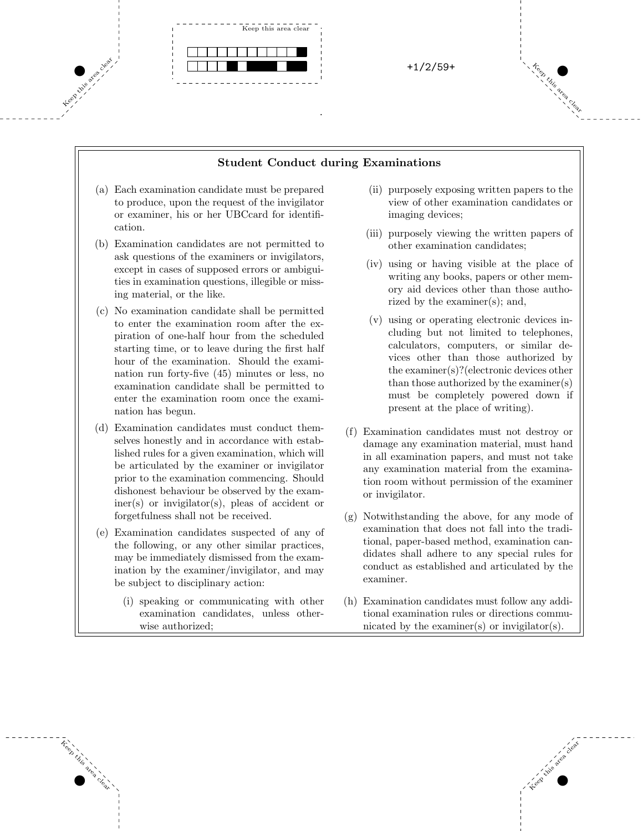

#### Student Conduct during Examinations

 $\mathcal{O}(\mathcal{O})$  and  $\mathcal{O}(\mathcal{O})$  and  $\mathcal{O}(\mathcal{O})$  and  $\mathcal{O}(\mathcal{O})$  and  $\mathcal{O}(\mathcal{O})$  and  $\mathcal{O}(\mathcal{O})$ 

- (a) Each examination candidate must be prepared to produce, upon the request of the invigilator or examiner, his or her UBCcard for identification.
- (b) Examination candidates are not permitted to ask questions of the examiners or invigilators, except in cases of supposed errors or ambiguities in examination questions, illegible or missing material, or the like.
- (c) No examination candidate shall be permitted to enter the examination room after the expiration of one-half hour from the scheduled starting time, or to leave during the first half hour of the examination. Should the examination run forty-five (45) minutes or less, no examination candidate shall be permitted to enter the examination room once the examination has begun.
- (d) Examination candidates must conduct themselves honestly and in accordance with established rules for a given examination, which will be articulated by the examiner or invigilator prior to the examination commencing. Should dishonest behaviour be observed by the examiner(s) or invigilator(s), pleas of accident or forgetfulness shall not be received.
- (e) Examination candidates suspected of any of the following, or any other similar practices, may be immediately dismissed from the examination by the examiner/invigilator, and may be subject to disciplinary action:

Keep this

area clear

(i) speaking or communicating with other examination candidates, unless otherwise authorized;

- (ii) purposely exposing written papers to the view of other examination candidates or imaging devices;
- (iii) purposely viewing the written papers of other examination candidates;
- (iv) using or having visible at the place of writing any books, papers or other memory aid devices other than those authorized by the examiner(s); and,
- (v) using or operating electronic devices including but not limited to telephones, calculators, computers, or similar devices other than those authorized by the examiner(s)?(electronic devices other than those authorized by the examiner(s) must be completely powered down if present at the place of writing).
- (f) Examination candidates must not destroy or damage any examination material, must hand in all examination papers, and must not take any examination material from the examination room without permission of the examiner or invigilator.
- (g) Notwithstanding the above, for any mode of examination that does not fall into the traditional, paper-based method, examination candidates shall adhere to any special rules for conduct as established and articulated by the examiner.
- (h) Examination candidates must follow any additional examination rules or directions communicated by the examiner(s) or invigilator(s).

Keep this area clear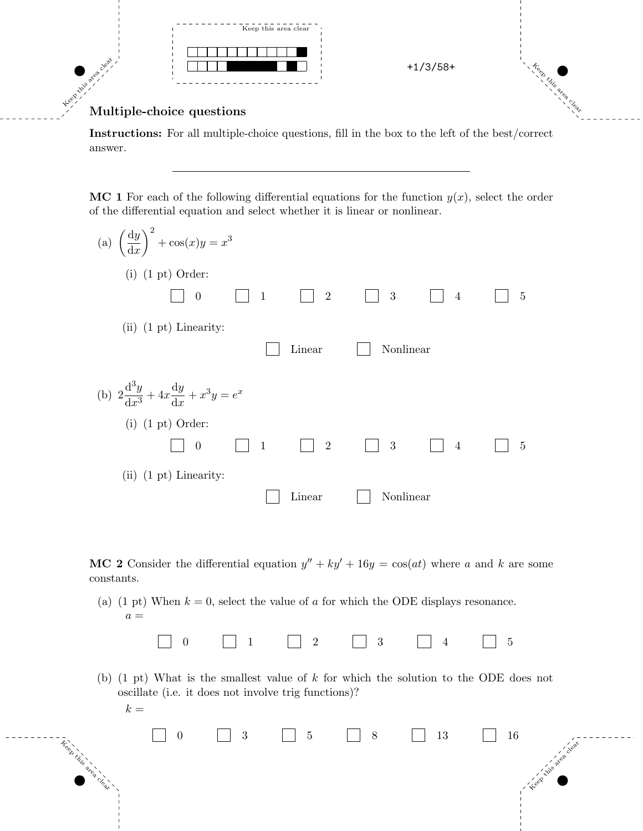

#### Multiple-choice questions

Instructions: For all multiple-choice questions, fill in the box to the left of the best/correct answer.

MC 1 For each of the following differential equations for the function  $y(x)$ , select the order of the differential equation and select whether it is linear or nonlinear.

| (a) $\left(\frac{dy}{dx}\right)^2 + \cos(x)y = x^3$     |              |                |           |                |   |
|---------------------------------------------------------|--------------|----------------|-----------|----------------|---|
| $(i)$ $(1 \text{ pt})$ Order:                           |              |                |           |                |   |
| $\overline{0}$                                          | $\mathbf{1}$ | $\overline{2}$ | 3         | $\overline{4}$ | 5 |
| $(ii)$ $(1 \text{ pt})$ Linearity:                      |              |                |           |                |   |
|                                                         |              | Linear         | Nonlinear |                |   |
| (b) $2\frac{d^3y}{dx^3} + 4x\frac{dy}{dx} + x^3y = e^x$ |              |                |           |                |   |
| $(i)$ $(1 \text{ pt})$ Order:                           |              |                |           |                |   |
| $\overline{0}$                                          | $\mathbf{1}$ | $\overline{2}$ | 3         | $\overline{4}$ | 5 |
| $(ii)$ $(1 \text{ pt})$ Linearity:                      |              |                |           |                |   |
|                                                         |              | Linear         | Nonlinear |                |   |

MC 2 Consider the differential equation  $y'' + ky' + 16y = cos(at)$  where a and k are some constants.

(a) (1 pt) When  $k = 0$ , select the value of a for which the ODE displays resonance.  $a =$ 

|--|

(b) (1 pt) What is the smallest value of k for which the solution to the ODE does not oscillate (i.e. it does not involve trig functions)?

|     | $\overline{0}$ |  |  |  |  |
|-----|----------------|--|--|--|--|
| Leg |                |  |  |  |  |
|     |                |  |  |  |  |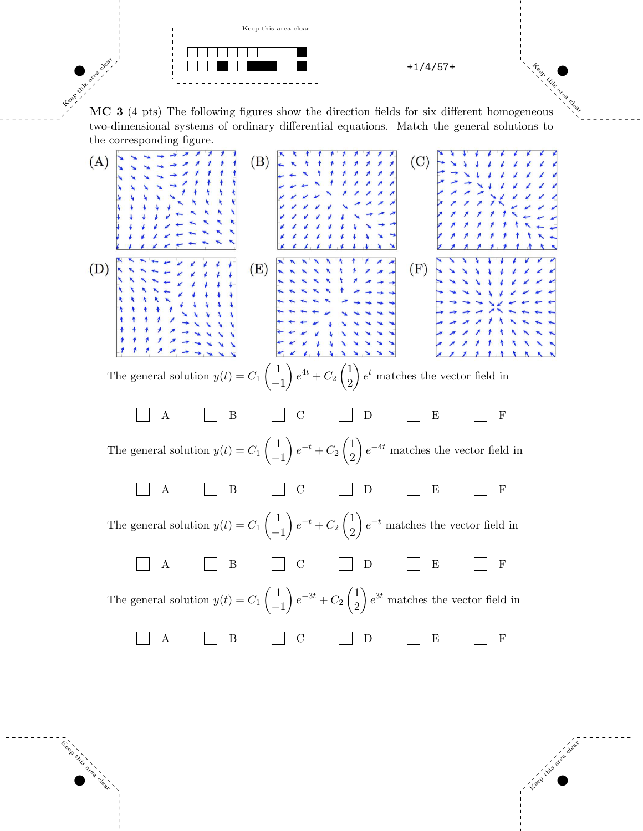

Keep this area clear. MC 3 (4 pts) The following figures show the direction fields for six different homogeneous two-dimensional systems of ordinary differential equations. Match the general solutions to the corresponding figure.



Treep

with its area clear

Keep this area clear to develop the control of the control of the control of the control of the control of the control of the control of the control of the control of the control of the control of the control of the contro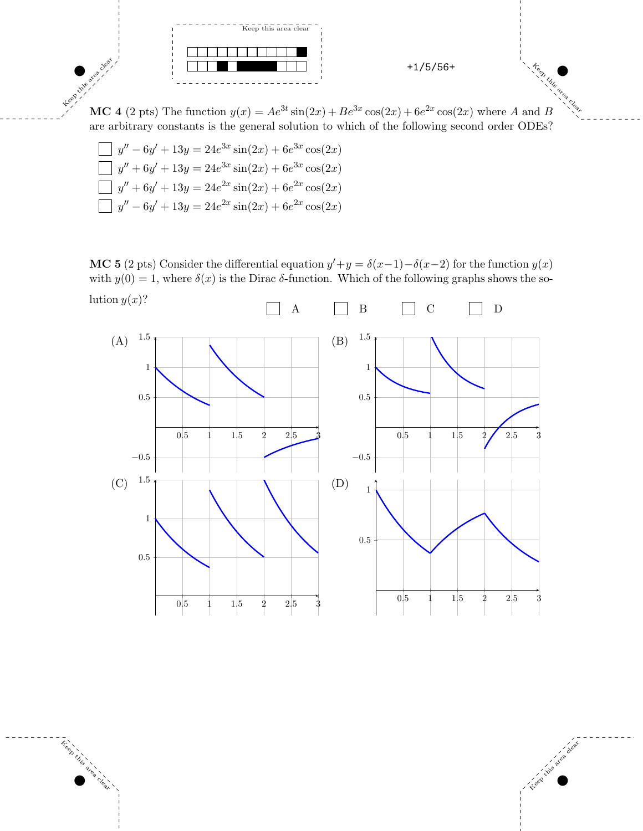

MC 4 (2 pts) The function  $y(x) = Ae^{3t} \sin(2x) + Be^{3x} \cos(2x) + 6e^{2x} \cos(2x)$  where A and B are arbitrary constants is the general solution to which of the following second order ODEs?

$$
\begin{aligned}\n\Box y'' - 6y' + 13y &= 24e^{3x}\sin(2x) + 6e^{3x}\cos(2x) \\
\Box y'' + 6y' + 13y &= 24e^{3x}\sin(2x) + 6e^{3x}\cos(2x) \\
\Box y'' + 6y' + 13y &= 24e^{2x}\sin(2x) + 6e^{2x}\cos(2x) \\
\Box y'' - 6y' + 13y &= 24e^{2x}\sin(2x) + 6e^{2x}\cos(2x)\n\end{aligned}
$$

Khis area

Keep this

area clear

**MC 5** (2 pts) Consider the differential equation  $y' + y = \delta(x-1) - \delta(x-2)$  for the function  $y(x)$ with  $y(0) = 1$ , where  $\delta(x)$  is the Dirac  $\delta$ -function. Which of the following graphs shows the solution  $y(x)$ ?



 $\mathcal{O}(\mathcal{O})$  and  $\mathcal{O}(\mathcal{O})$  and  $\mathcal{O}(\mathcal{O})$  and  $\mathcal{O}(\mathcal{O})$  and  $\mathcal{O}(\mathcal{O})$  and  $\mathcal{O}(\mathcal{O})$ 

Keep this area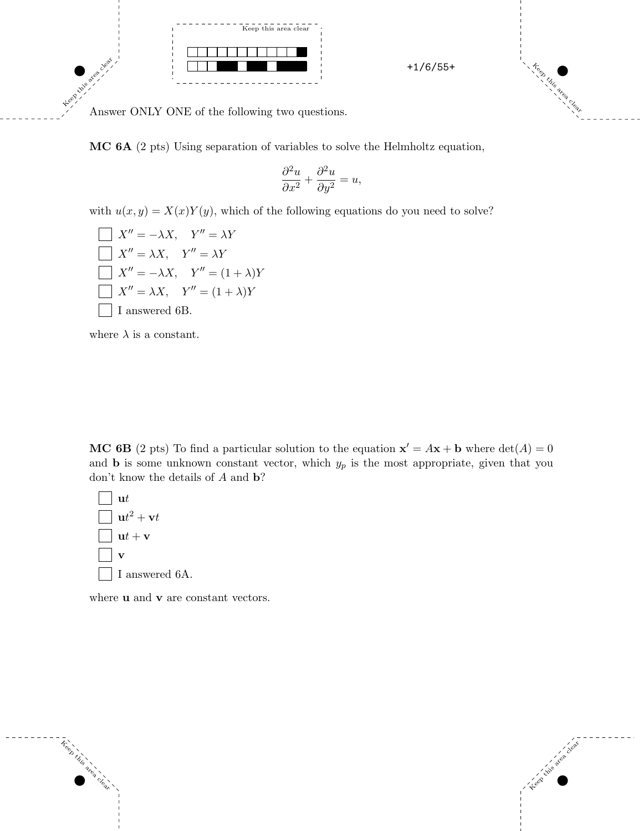

Keep this area clear.

Answer ONLY ONE of the following two questions.

MC 6A (2 pts) Using separation of variables to solve the Helmholtz equation,

$$
\frac{\partial^2 u}{\partial x^2} + \frac{\partial^2 u}{\partial y^2} = u,
$$

with  $u(x, y) = X(x)Y(y)$ , which of the following equations do you need to solve?

$$
X'' = -\lambda X, \quad Y'' = \lambda Y
$$
  
\n
$$
X'' = \lambda X, \quad Y'' = \lambda Y
$$
  
\n
$$
X'' = -\lambda X, \quad Y'' = (1 + \lambda)Y
$$
  
\n
$$
X'' = \lambda X, \quad Y'' = (1 + \lambda)Y
$$
  
\nI answered 6B.

where  $\lambda$  is a constant.

MC 6B (2 pts) To find a particular solution to the equation  $\mathbf{x}' = A\mathbf{x} + \mathbf{b}$  where  $\det(A) = 0$ and **b** is some unknown constant vector, which  $y_p$  is the most appropriate, given that you don't know the details of A and **b**?



where **u** and **v** are constant vectors.



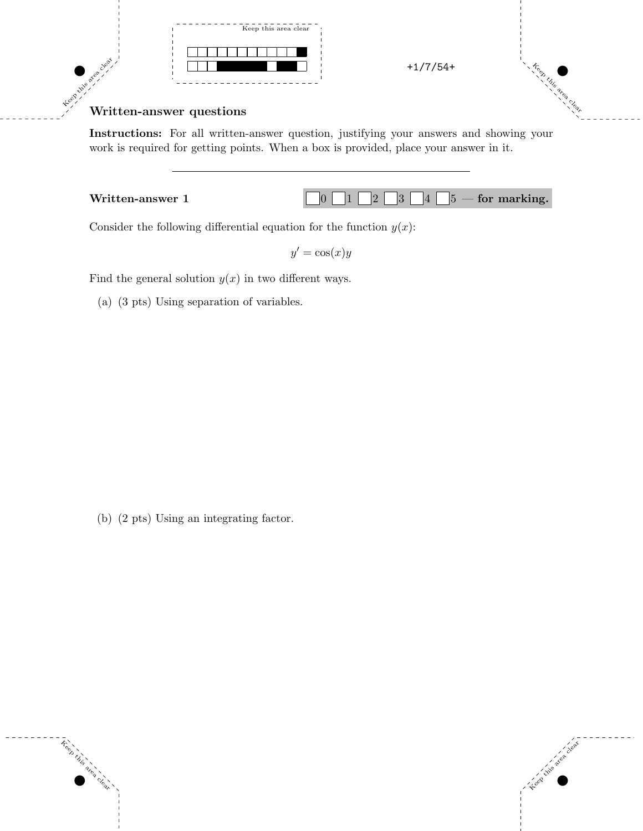



Keep this area

## Keep this area clear. Written-answer questions

Instructions: For all written-answer question, justifying your answers and showing your work is required for getting points. When a box is provided, place your answer in it.



Consider the following differential equation for the function  $y(x)$ :

 $y' = \cos(x)y$ 

 $\mathcal{O}(\mathcal{O})$  and  $\mathcal{O}(\mathcal{O})$  and  $\mathcal{O}(\mathcal{O})$  and  $\mathcal{O}(\mathcal{O})$  and  $\mathcal{O}(\mathcal{O})$  and  $\mathcal{O}(\mathcal{O})$ 

Find the general solution  $y(x)$  in two different ways.

(a) (3 pts) Using separation of variables.

(b) (2 pts) Using an integrating factor.

Keep this

area clear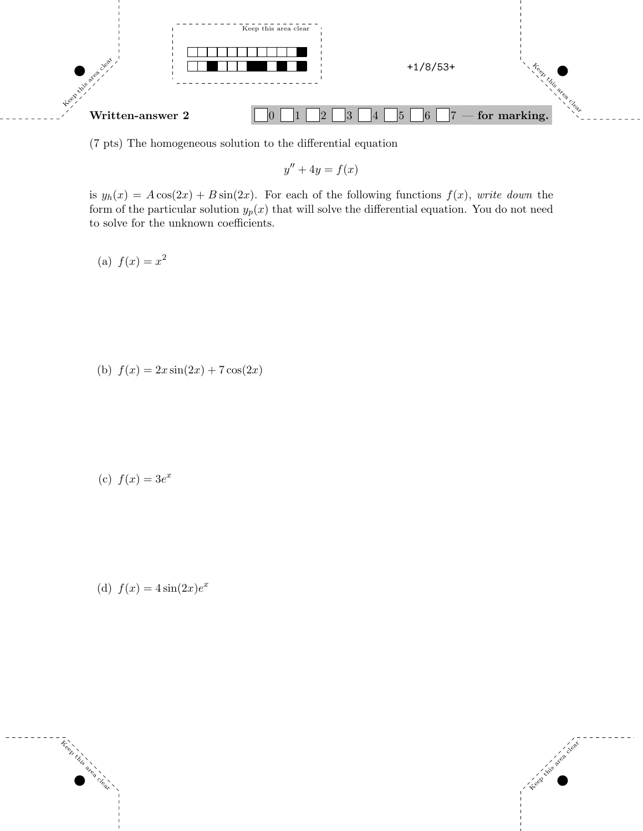

(7 pts) The homogeneous solution to the differential equation

 $y'' + 4y = f(x)$ 

is  $y_h(x) = A\cos(2x) + B\sin(2x)$ . For each of the following functions  $f(x)$ , write down the form of the particular solution  $y_p(x)$  that will solve the differential equation. You do not need to solve for the unknown coefficients.

(a)  $f(x) = x^2$ 

(b)  $f(x) = 2x \sin(2x) + 7 \cos(2x)$ 

(c)  $f(x) = 3e^x$ 

(d)  $f(x) = 4\sin(2x)e^x$ 



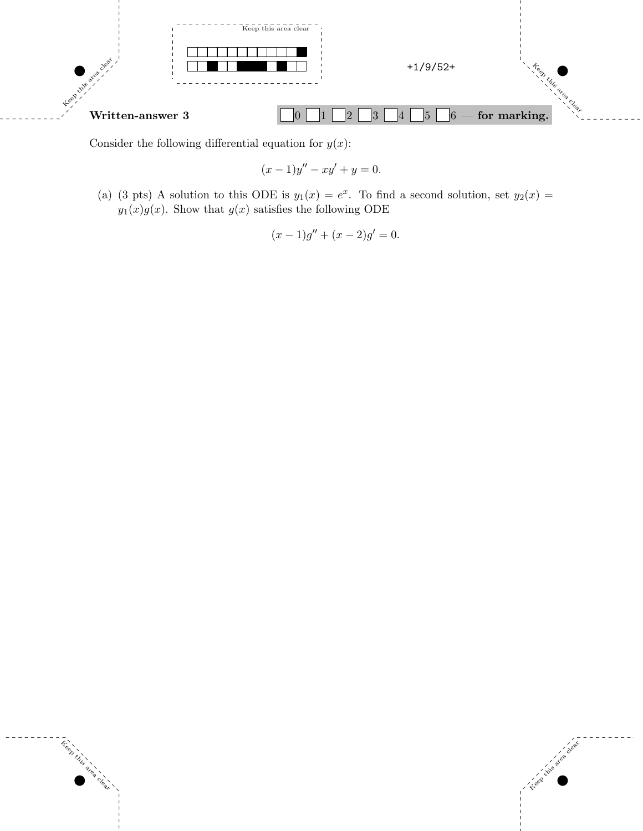

Consider the following differential equation for  $y(x)$ :

Keep this

area clear

$$
(x-1)y'' - xy' + y = 0.
$$

(a) (3 pts) A solution to this ODE is  $y_1(x) = e^x$ . To find a second solution, set  $y_2(x) =$  $y_1(x)g(x)$  . Show that  $g(x)$  satisfies the following ODE

$$
(x-1)g'' + (x-2)g' = 0.
$$

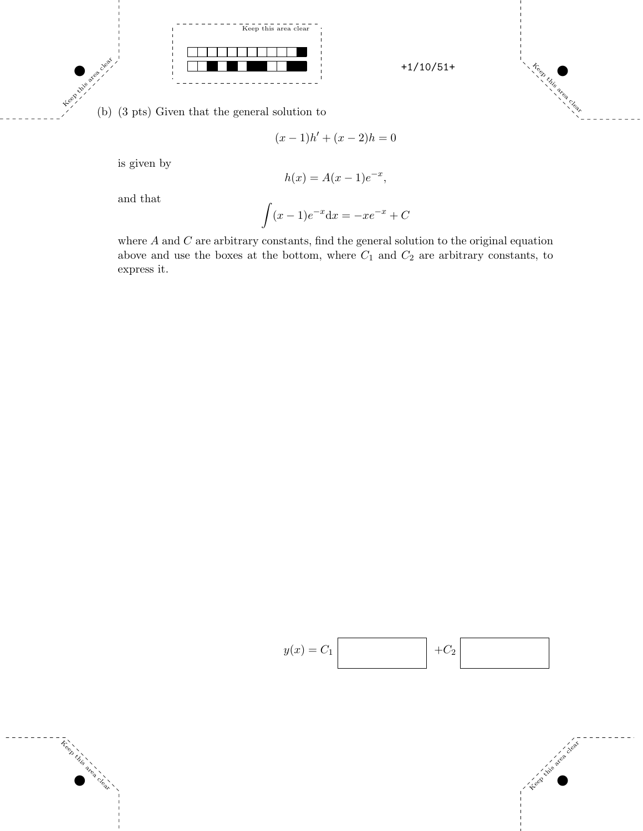



(b) (3 pts) Given that the general solution to

$$
(x-1)h' + (x-2)h = 0
$$

is given by

Khis area

Treet

**Lins area clear** 

$$
h(x) = A(x - 1)e^{-x},
$$

and that

$$
\int (x-1)e^{-x} \mathrm{d}x = -xe^{-x} + C
$$

where  $A$  and  $C$  are arbitrary constants, find the general solution to the original equation above and use the boxes at the bottom, where  $C_1$  and  $C_2$  are arbitrary constants, to express it.



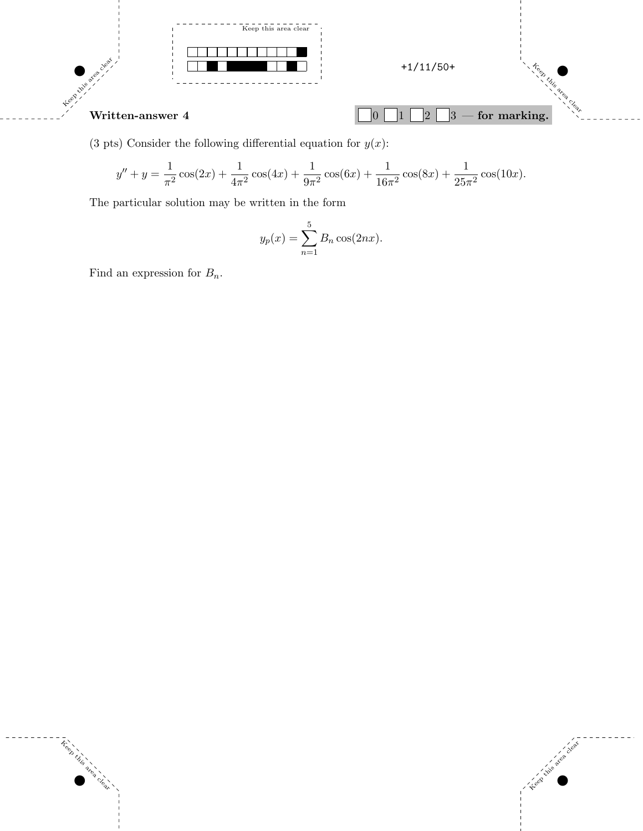

(3 pts) Consider the following differential equation for  $y(x)$ :

$$
y'' + y = \frac{1}{\pi^2} \cos(2x) + \frac{1}{4\pi^2} \cos(4x) + \frac{1}{9\pi^2} \cos(6x) + \frac{1}{16\pi^2} \cos(8x) + \frac{1}{25\pi^2} \cos(10x).
$$

The particular solution may be written in the form

$$
y_p(x) = \sum_{n=1}^{5} B_n \cos(2nx).
$$

Keep this area clear to develop the control of the control of the control of the control of the control of the control of the control of the control of the control of the control of the control of the control of the contro

Find an expression for  $B_n$ .

 $\tilde{\tau}_{\text{e}}^{\text{e}}$ 

**Lister area clear**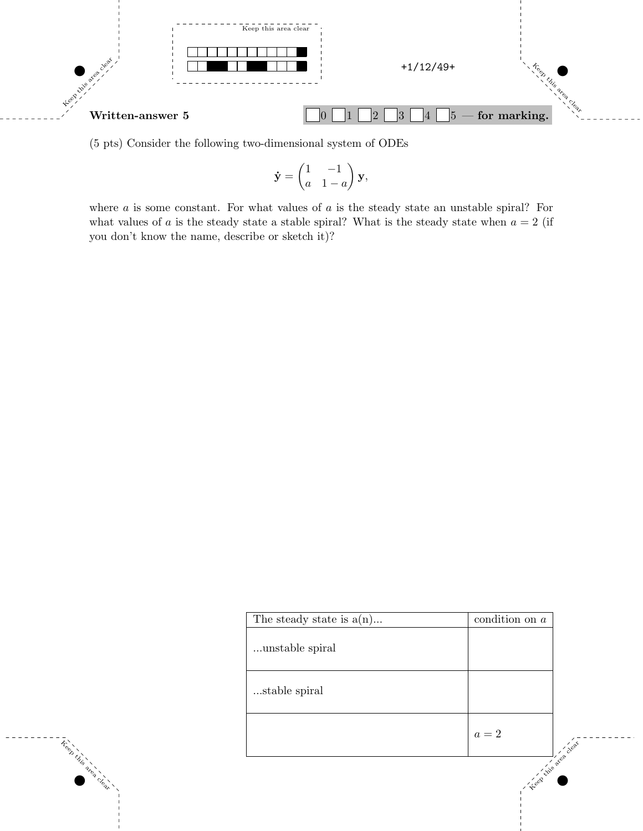

(5 pts) Consider the following two-dimensional system of ODEs

 $\bar{\hat{\tau}}^{\circledcirc}_{\hat{\tau}}$ 

**Line area** clee

$$
\dot{\mathbf{y}} = \begin{pmatrix} 1 & -1 \\ a & 1 - a \end{pmatrix} \mathbf{y},
$$

where  $a$  is some constant. For what values of  $a$  is the steady state an unstable spiral? For what values of a is the steady state a stable spiral? What is the steady state when  $a = 2$  (if you don't know the name, describe or sketch it)?

| The steady state is $a(n)$ | condition on $a$ |
|----------------------------|------------------|
| unstable spiral            |                  |
| stable spiral              |                  |
|                            | $a=2\,$          |
|                            | Leep King        |

 $\mathcal{O}(\mathcal{O})$  and  $\mathcal{O}(\mathcal{O})$  and  $\mathcal{O}(\mathcal{O})$  and  $\mathcal{O}(\mathcal{O})$  and  $\mathcal{O}(\mathcal{O})$  and  $\mathcal{O}(\mathcal{O})$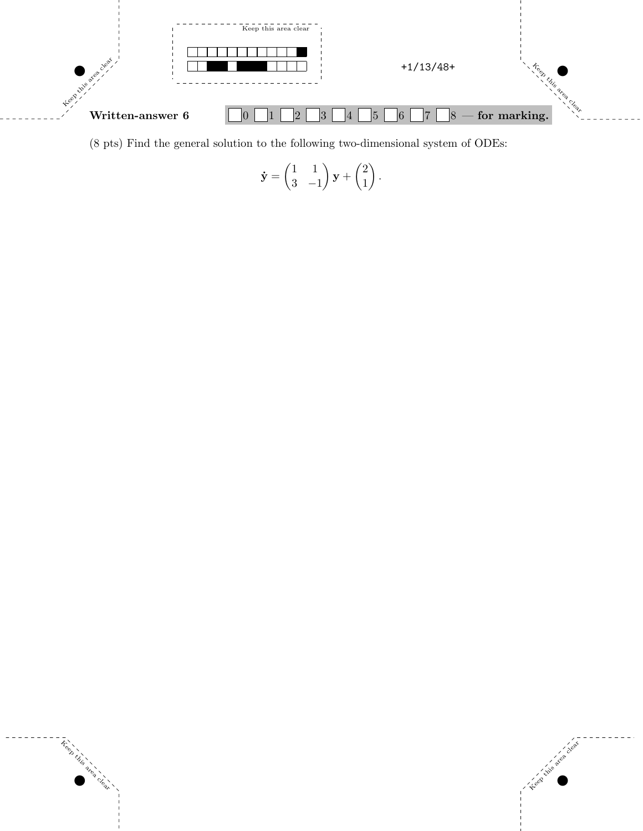

(8 pts) Find the general solution to the following two-dimensional system of ODEs:

$$
\dot{\mathbf{y}} = \begin{pmatrix} 1 & 1 \\ 3 & -1 \end{pmatrix} \mathbf{y} + \begin{pmatrix} 2 \\ 1 \end{pmatrix}.
$$



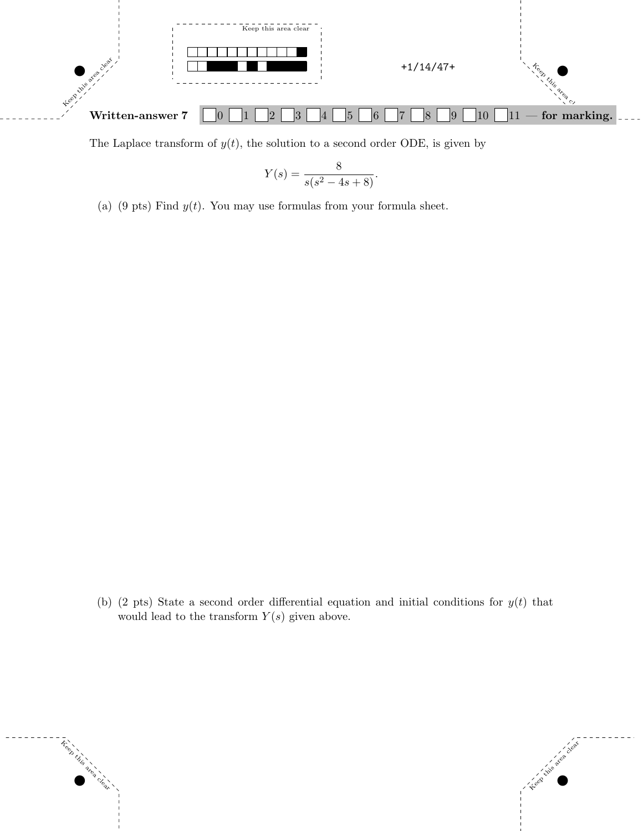

The Laplace transform of  $y(t)$ , the solution to a second order ODE, is given by

$$
Y(s) = \frac{8}{s(s^2 - 4s + 8)}.
$$

(a) (9 pts) Find  $y(t)$ . You may use formulas from your formula sheet.

(b) (2 pts) State a second order differential equation and initial conditions for  $y(t)$  that would lead to the transform  $Y(s)$  given above.

 $\mathcal{O}(\mathcal{O})$  and  $\mathcal{O}(\mathcal{O})$  and  $\mathcal{O}(\mathcal{O})$  and  $\mathcal{O}(\mathcal{O})$  and  $\mathcal{O}(\mathcal{O})$  and  $\mathcal{O}(\mathcal{O})$ 

Keep this are

Treet

**Lister Clear**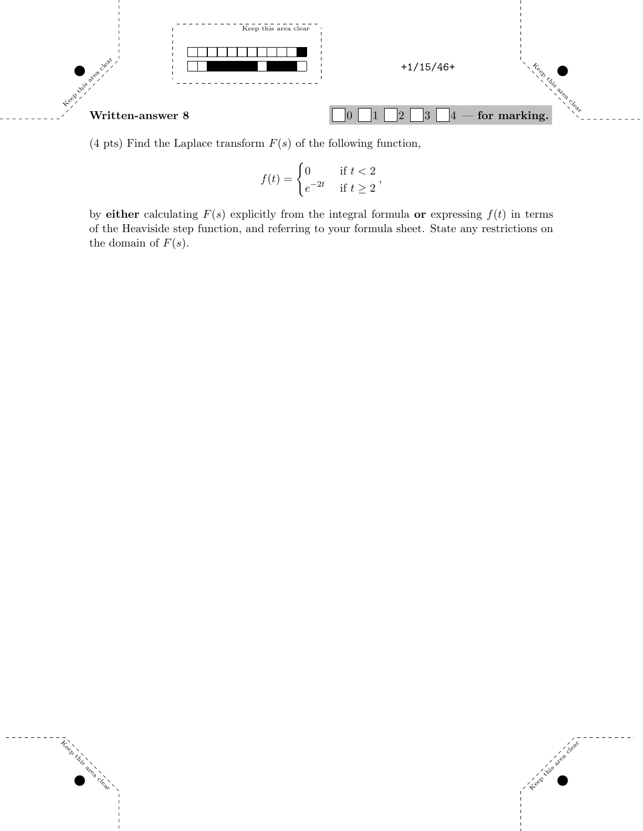

(4 pts) Find the Laplace transform  $F(s)$  of the following function,

 $\tilde{\tau}_6^{\circ}$ 

**Intrigence Clear** 

$$
f(t) = \begin{cases} 0 & \text{if } t < 2 \\ e^{-2t} & \text{if } t \ge 2 \end{cases}
$$

by either calculating  $F(s)$  explicitly from the integral formula or expressing  $f(t)$  in terms of the Heaviside step function, and referring to your formula sheet. State any restrictions on the domain of  $F(s)$ .

 $\mathcal{O}(\mathcal{O})$  and  $\mathcal{O}(\mathcal{O})$  and  $\mathcal{O}(\mathcal{O})$  and  $\mathcal{O}(\mathcal{O})$  and  $\mathcal{O}(\mathcal{O})$  and  $\mathcal{O}(\mathcal{O})$ 

Keep this area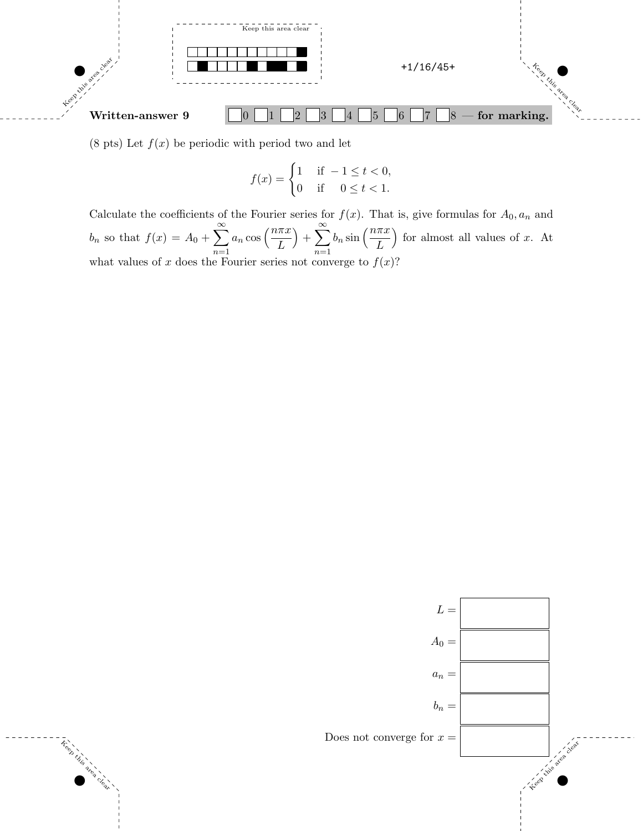

(8 pts) Let  $f(x)$  be periodic with period two and let

Keep this

area clear

$$
f(x) = \begin{cases} 1 & \text{if } -1 \le t < 0, \\ 0 & \text{if } 0 \le t < 1. \end{cases}
$$

Calculate the coefficients of the Fourier series for  $f(x)$ . That is, give formulas for  $A_0$ ,  $a_n$  and  $b_n$  so that  $f(x) = A_0 + \sum_{n=1}^{\infty}$  $n=1$  $a_n \cos\left(\frac{n\pi x}{L}\right)$  $+\sum_{n=1}^{\infty}$  $n=1$  $b_n \sin\left(\frac{n\pi x}{L}\right)$ for almost all values of x. At what values of x does the Fourier series not converge to  $f(x)$ ?

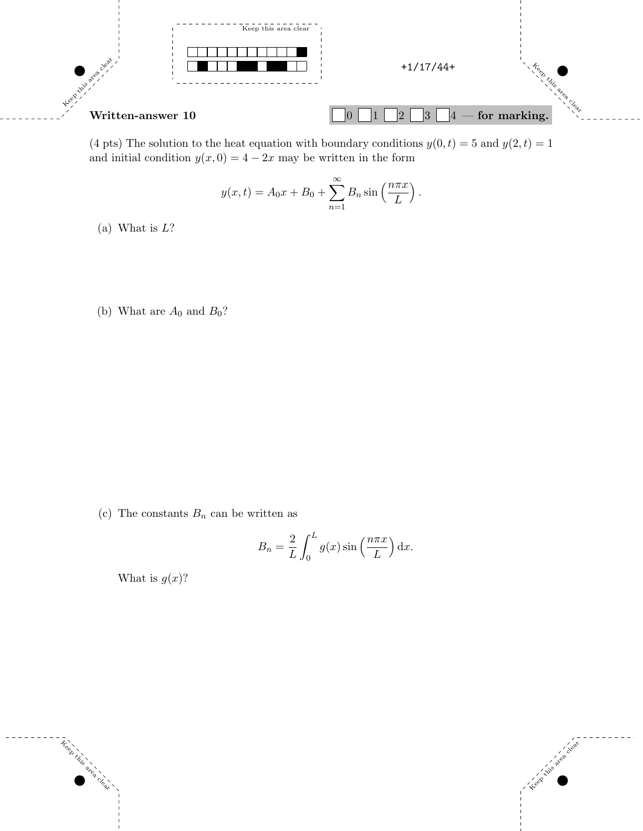

(4 pts) The solution to the heat equation with boundary conditions  $y(0, t) = 5$  and  $y(2, t) = 1$ and initial condition  $y(x, 0) = 4 - 2x$  may be written in the form

$$
y(x,t) = A_0 x + B_0 + \sum_{n=1}^{\infty} B_n \sin\left(\frac{n\pi x}{L}\right).
$$

(a) What is  $L?$ 

(b) What are  $A_0$  and  $B_0$ ?

(c) The constants  $B_n$  can be written as

$$
B_n = \frac{2}{L} \int_0^L g(x) \sin\left(\frac{n\pi x}{L}\right) dx.
$$

Keep this area clear to develop the control of the control of the control of the control of the control of the control of the control of the control of the control of the control of the control of the control of the contro

What is  $g(x)$ ?

Treet

**Little area Clear**